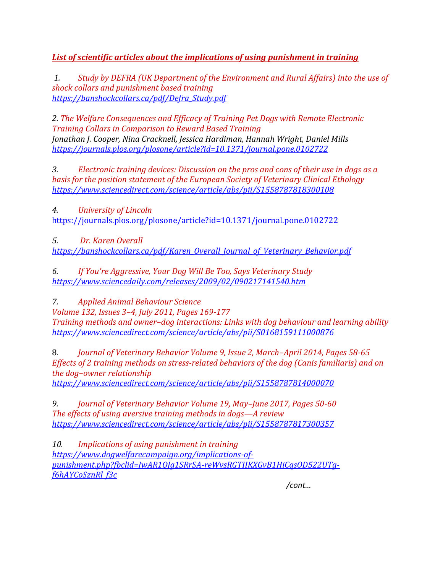*List of scientific articles about the implications of using punishment in training*

*1. Study by DEFRA (UK Department of the Environment and Rural Affairs) into the use of shock collars and punishment based training https://banshockcollars.ca/pdf/Defra\_Study.pdf*

*2. The Welfare Consequences and Efficacy of Training Pet Dogs with Remote Electronic Training Collars in Comparison to Reward Based Training Jonathan J. Cooper, Nina Cracknell, Jessica Hardiman, Hannah Wright, Daniel Mills https://journals.plos.org/plosone/article?id=10.1371/journal.pone.0102722*

*3. Electronic training devices: Discussion on the pros and cons of their use in dogs as a basis for the position statement of the European Society of Veterinary Clinical Ethology https://www.sciencedirect.com/science/article/abs/pii/S1558787818300108*

*4. University of Lincoln*  https://journals.plos.org/plosone/article?id=10.1371/journal.pone.0102722

*5. Dr. Karen Overall https://banshockcollars.ca/pdf/Karen\_Overall\_Journal\_of\_Veterinary\_Behavior.pdf*

*6. If You're Aggressive, Your Dog Will Be Too, Says Veterinary Study https://www.sciencedaily.com/releases/2009/02/090217141540.htm*

*7. Applied Animal Behaviour Science* 

*Volume 132, Issues 3–4, July 2011, Pages 169-177 Training methods and owner–dog interactions: Links with dog behaviour and learning ability https://www.sciencedirect.com/science/article/abs/pii/S0168159111000876*

8. *Journal of Veterinary Behavior Volume 9, Issue 2, March–April 2014, Pages 58-65 Effects of 2 training methods on stress-related behaviors of the dog (Canis familiaris) and on the dog–owner relationship* 

*https://www.sciencedirect.com/science/article/abs/pii/S1558787814000070*

*9. Journal of Veterinary Behavior Volume 19, May–June 2017, Pages 50-60 The effects of using aversive training methods in dogs—A review https://www.sciencedirect.com/science/article/abs/pii/S1558787817300357*

*10. Implications of using punishment in training https://www.dogwelfarecampaign.org/implications-ofpunishment.php?fbclid=IwAR1QJg1SRrSA-reWvsRGTIIKXGvB1HiCqsOD522UTgf6hAYCoSznRl\_f3c*

*/cont…*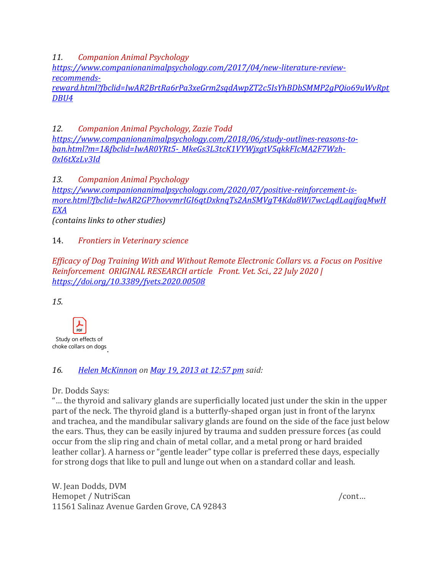*11. Companion Animal Psychology*

*https://www.companionanimalpsychology.com/2017/04/new-literature-reviewrecommends-*

*reward.html?fbclid=IwAR2BrtRa6rPa3xeGrm2sqdAwpZT2c5IsYhBDbSMMP2gPQio69uWvRpt DBU4*

*12. Companion Animal Psychology, Zazie Todd https://www.companionanimalpsychology.com/2018/06/study-outlines-reasons-toban.html?m=1&fbclid=IwAR0YRt5-\_MkeGs3L3tcK1VYWjxgtV5qkkFIcMA2F7Wzh-0xI6tXzLv3Id*

*13. Companion Animal Psychology https://www.companionanimalpsychology.com/2020/07/positive-reinforcement-ismore.html?fbclid=IwAR2GP7hovvmrIGI6qtDxknqTs2AnSMVgT4Kda8Wi7wcLqdLaqifaqMwH EXA*

*(contains links to other studies)*

## 14. *Frontiers in Veterinary science*

*Efficacy of Dog Training With and Without Remote Electronic Collars vs. a Focus on Positive Reinforcement ORIGINAL RESEARCH article Front. Vet. Sci., 22 July 2020 | https://doi.org/10.3389/fvets.2020.00508*

*15.*



## *16. Helen McKinnon on May 19, 2013 at 12:57 pm said:*

Dr. Dodds Says:

"… the thyroid and salivary glands are superficially located just under the skin in the upper part of the neck. The thyroid gland is a butterfly-shaped organ just in front of the larynx and trachea, and the mandibular salivary glands are found on the side of the face just below the ears. Thus, they can be easily injured by trauma and sudden pressure forces (as could occur from the slip ring and chain of metal collar, and a metal prong or hard braided leather collar). A harness or "gentle leader" type collar is preferred these days, especially for strong dogs that like to pull and lunge out when on a standard collar and leash.

W. Jean Dodds, DVM Hemopet / NutriScan /cont… 11561 Salinaz Avenue Garden Grove, CA 92843